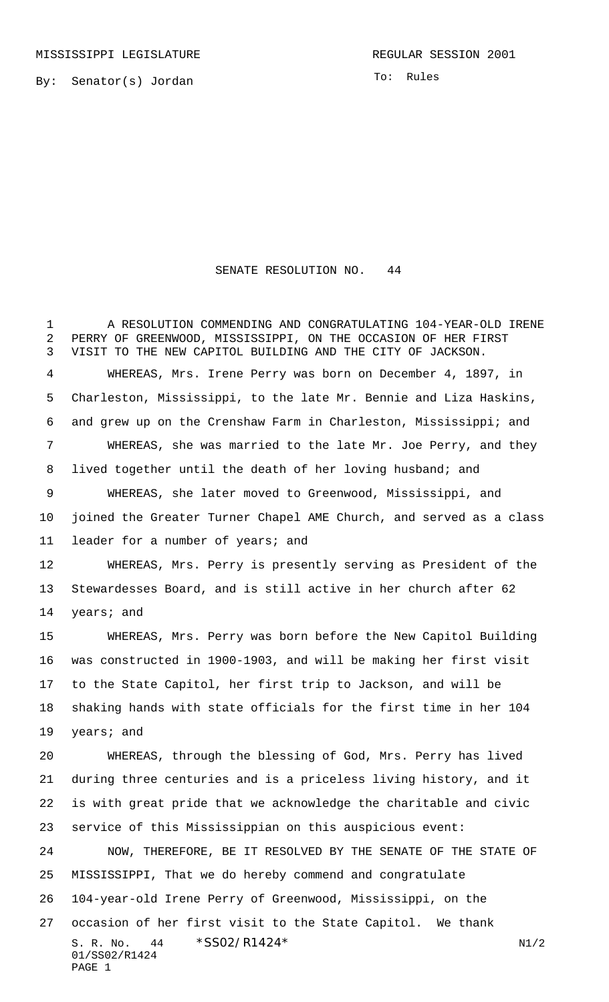MISSISSIPPI LEGISLATURE **REGULAR SESSION 2001** 

By: Senator(s) Jordan

To: Rules

## SENATE RESOLUTION NO. 44

S. R. No.  $44 \times$   $$SO2/R1424*$  N1/2 01/SS02/R1424 PAGE 1 A RESOLUTION COMMENDING AND CONGRATULATING 104-YEAR-OLD IRENE PERRY OF GREENWOOD, MISSISSIPPI, ON THE OCCASION OF HER FIRST VISIT TO THE NEW CAPITOL BUILDING AND THE CITY OF JACKSON. WHEREAS, Mrs. Irene Perry was born on December 4, 1897, in Charleston, Mississippi, to the late Mr. Bennie and Liza Haskins, and grew up on the Crenshaw Farm in Charleston, Mississippi; and WHEREAS, she was married to the late Mr. Joe Perry, and they 8 lived together until the death of her loving husband; and WHEREAS, she later moved to Greenwood, Mississippi, and joined the Greater Turner Chapel AME Church, and served as a class leader for a number of years; and WHEREAS, Mrs. Perry is presently serving as President of the Stewardesses Board, and is still active in her church after 62 years; and WHEREAS, Mrs. Perry was born before the New Capitol Building was constructed in 1900-1903, and will be making her first visit to the State Capitol, her first trip to Jackson, and will be shaking hands with state officials for the first time in her 104 years; and WHEREAS, through the blessing of God, Mrs. Perry has lived during three centuries and is a priceless living history, and it is with great pride that we acknowledge the charitable and civic service of this Mississippian on this auspicious event: NOW, THEREFORE, BE IT RESOLVED BY THE SENATE OF THE STATE OF MISSISSIPPI, That we do hereby commend and congratulate 104-year-old Irene Perry of Greenwood, Mississippi, on the occasion of her first visit to the State Capitol. We thank